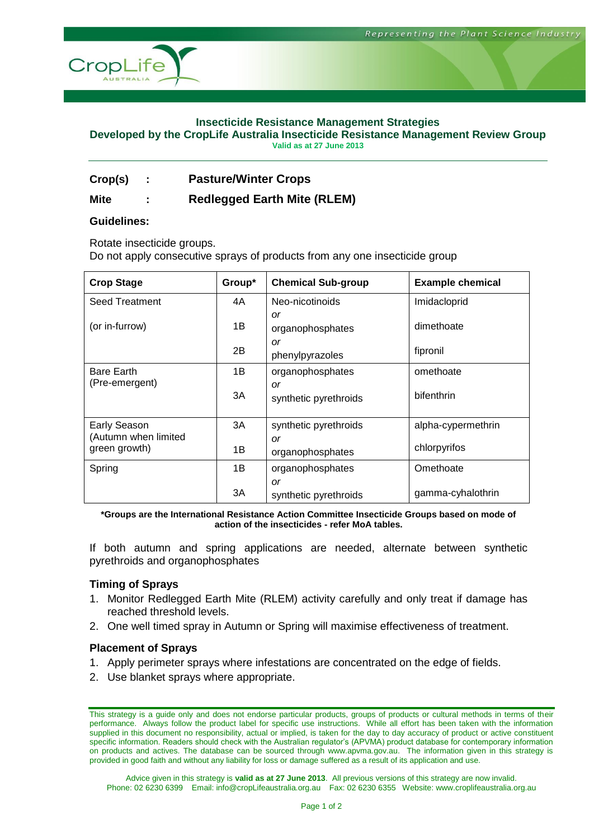

#### **Insecticide Resistance Management Strategies**

**Developed by the CropLife Australia Insecticide Resistance Management Review Group**

**Valid as at 27 June 2013**

**Crop(s) : Pasture/Winter Crops**

## **Mite : Redlegged Earth Mite (RLEM)**

#### **Guidelines:**

Rotate insecticide groups.

Do not apply consecutive sprays of products from any one insecticide group

| <b>Crop Stage</b>                                     | Group* | <b>Chemical Sub-group</b>     | <b>Example chemical</b> |
|-------------------------------------------------------|--------|-------------------------------|-------------------------|
| <b>Seed Treatment</b>                                 | 4A     | Neo-nicotinoids               | Imidacloprid            |
| (or in-furrow)                                        | 1Β     | or<br>organophosphates        | dimethoate              |
|                                                       | 2B     | or<br>phenylpyrazoles         | fipronil                |
| <b>Bare Earth</b><br>(Pre-emergent)                   | 1B     | organophosphates              | omethoate               |
|                                                       | 3A     | or<br>synthetic pyrethroids   | bifenthrin              |
| Early Season<br>(Autumn when limited<br>green growth) | 3A     | synthetic pyrethroids         | alpha-cypermethrin      |
|                                                       | 1B     | <b>or</b><br>organophosphates | chlorpyrifos            |
| Spring                                                | 1B     | organophosphates              | Omethoate               |
|                                                       | 3A     | or<br>synthetic pyrethroids   | gamma-cyhalothrin       |

**\*Groups are the International Resistance Action Committee Insecticide Groups based on mode of action of the insecticides - refer MoA tables.**

If both autumn and spring applications are needed, alternate between synthetic pyrethroids and organophosphates

#### **Timing of Sprays**

- 1. Monitor Redlegged Earth Mite (RLEM) activity carefully and only treat if damage has reached threshold levels.
- 2. One well timed spray in Autumn or Spring will maximise effectiveness of treatment.

#### **Placement of Sprays**

- 1. Apply perimeter sprays where infestations are concentrated on the edge of fields.
- 2. Use blanket sprays where appropriate.

Advice given in this strategy is **valid as at 27 June 2013**. All previous versions of this strategy are now invalid. Phone: 02 6230 6399 Email: info@cropLifeaustralia.org.au Fax: 02 6230 6355 Website: www.croplifeaustralia.org.au

This strategy is a guide only and does not endorse particular products, groups of products or cultural methods in terms of their performance. Always follow the product label for specific use instructions. While all effort has been taken with the information supplied in this document no responsibility, actual or implied, is taken for the day to day accuracy of product or active constituent specific information. Readers should check with the Australian regulator's (APVMA) product database for contemporary information on products and actives. The database can be sourced through www.apvma.gov.au. The information given in this strategy is provided in good faith and without any liability for loss or damage suffered as a result of its application and use.